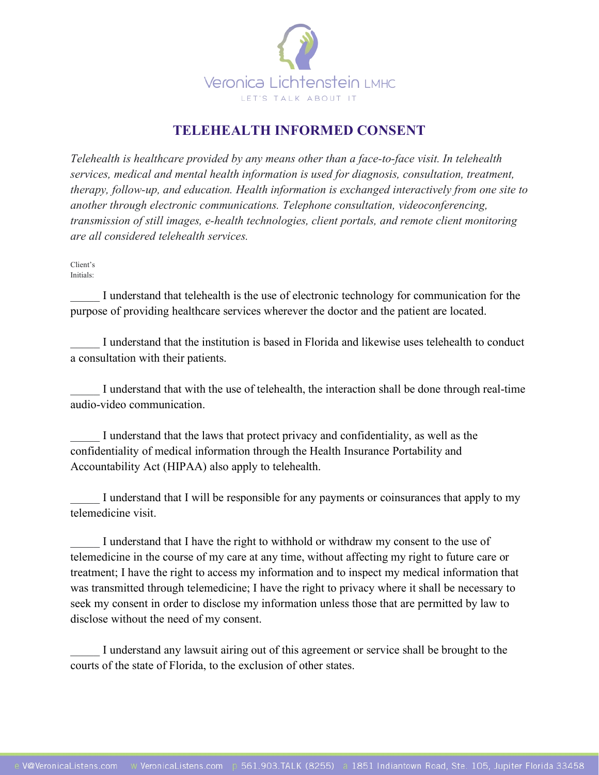

## **TELEHEALTH INFORMED CONSENT**

*Telehealth is healthcare provided by any means other than a face-to-face visit. In telehealth services, medical and mental health information is used for diagnosis, consultation, treatment, therapy, follow-up, and education. Health information is exchanged interactively from one site to another through electronic communications. Telephone consultation, videoconferencing, transmission of still images, e-health technologies, client portals, and remote client monitoring are all considered telehealth services.* 

Client's Initials:

I understand that telehealth is the use of electronic technology for communication for the purpose of providing healthcare services wherever the doctor and the patient are located.

\_\_\_\_\_ I understand that the institution is based in Florida and likewise uses telehealth to conduct a consultation with their patients.

I understand that with the use of telehealth, the interaction shall be done through real-time audio-video communication.

I understand that the laws that protect privacy and confidentiality, as well as the confidentiality of medical information through the Health Insurance Portability and Accountability Act (HIPAA) also apply to telehealth.

I understand that I will be responsible for any payments or coinsurances that apply to my telemedicine visit.

I understand that I have the right to withhold or withdraw my consent to the use of telemedicine in the course of my care at any time, without affecting my right to future care or treatment; I have the right to access my information and to inspect my medical information that was transmitted through telemedicine; I have the right to privacy where it shall be necessary to seek my consent in order to disclose my information unless those that are permitted by law to disclose without the need of my consent.

I understand any lawsuit airing out of this agreement or service shall be brought to the courts of the state of Florida, to the exclusion of other states.